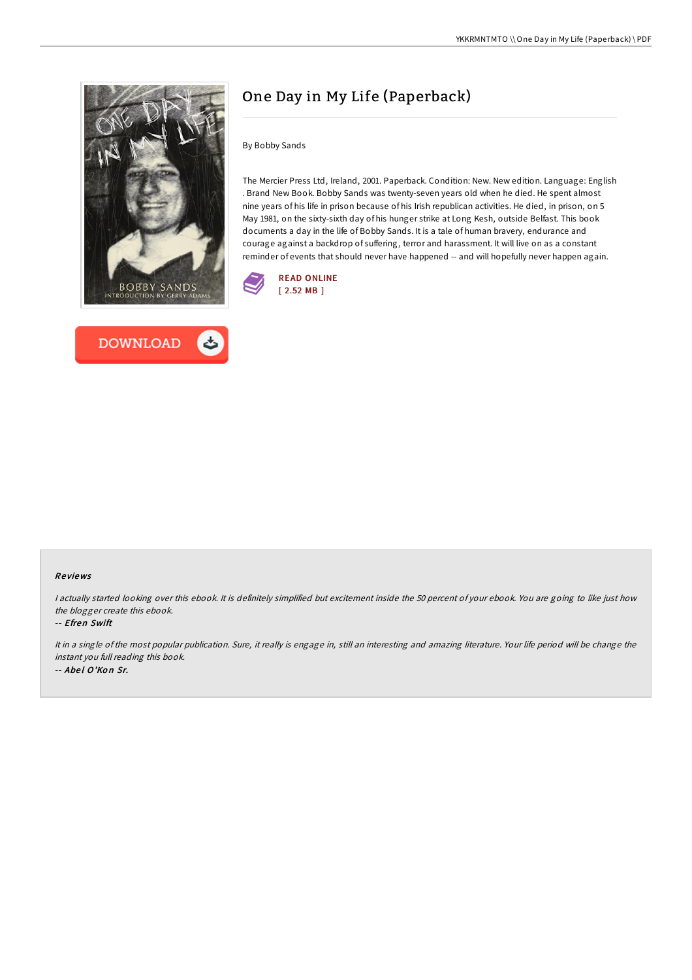



# One Day in My Life (Paperback)

By Bobby Sands

The Mercier Press Ltd, Ireland, 2001. Paperback. Condition: New. New edition. Language: English . Brand New Book. Bobby Sands was twenty-seven years old when he died. He spent almost nine years of his life in prison because of his Irish republican activities. He died, in prison, on 5 May 1981, on the sixty-sixth day of his hunger strike at Long Kesh, outside Belfast. This book documents a day in the life of Bobby Sands. It is a tale of human bravery, endurance and courage against a backdrop of suffering, terror and harassment. It will live on as a constant reminder of events that should never have happened -- and will hopefully never happen again.



#### Re views

I actually started looking over this ebook. It is definitely simplified but excitement inside the 50 percent of your ebook. You are going to like just how the blogger create this ebook.

#### -- Efren Swift

It in <sup>a</sup> single of the most popular publication. Sure, it really is engage in, still an interesting and amazing literature. Your life period will be change the instant you full reading this book. -- Abel O'Kon Sr.